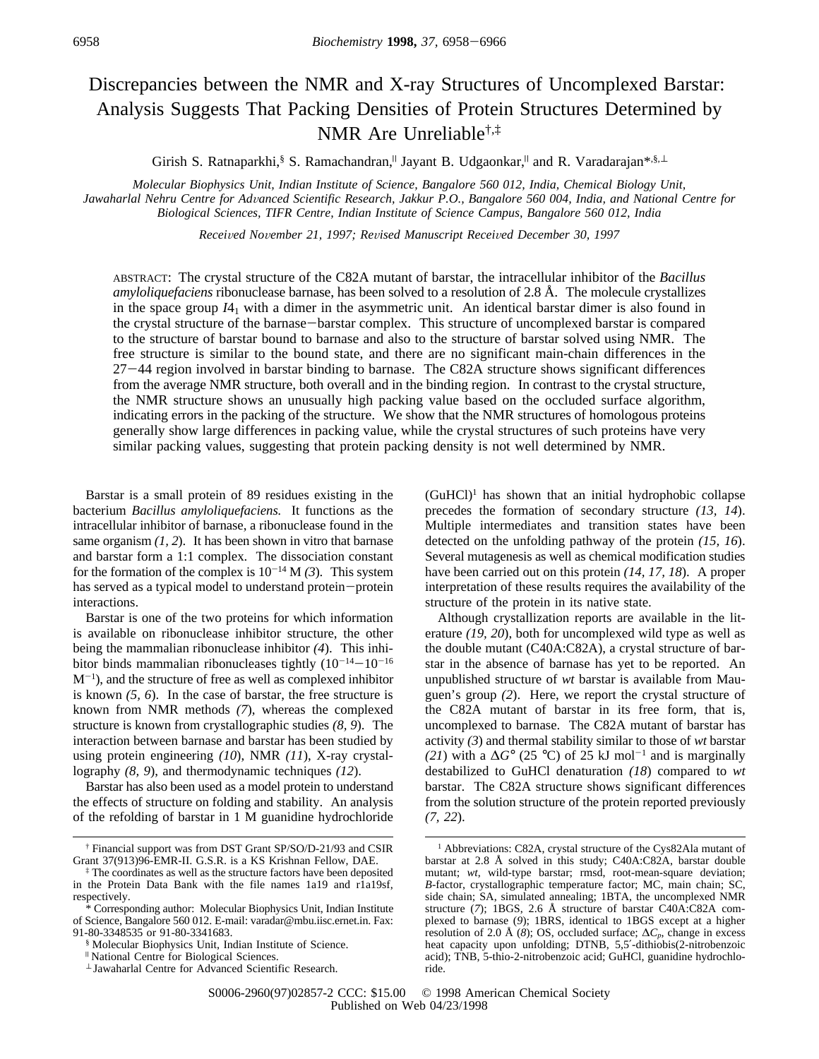# Discrepancies between the NMR and X-ray Structures of Uncomplexed Barstar: Analysis Suggests That Packing Densities of Protein Structures Determined by NMR Are Unreliable†,‡

Girish S. Ratnaparkhi, S. Ramachandran, Jayant B. Udgaonkar, and R. Varadarajan\*, S, ⊥

*Molecular Biophysics Unit, Indian Institute of Science, Bangalore 560 012, India, Chemical Biology Unit, Jawaharlal Nehru Centre for Ad*V*anced Scientific Research, Jakkur P.O., Bangalore 560 004, India, and National Centre for Biological Sciences, TIFR Centre, Indian Institute of Science Campus, Bangalore 560 012, India*

*Recei*V*ed No*V*ember 21, 1997; Re*V*ised Manuscript Recei*V*ed December 30, 1997*

ABSTRACT: The crystal structure of the C82A mutant of barstar, the intracellular inhibitor of the *Bacillus amyloliquefaciens* ribonuclease barnase, has been solved to a resolution of 2.8 Å. The molecule crystallizes in the space group  $I_1$  with a dimer in the asymmetric unit. An identical barstar dimer is also found in the crystal structure of the barnase-barstar complex. This structure of uncomplexed barstar is compared to the structure of barstar bound to barnase and also to the structure of barstar solved using NMR. The free structure is similar to the bound state, and there are no significant main-chain differences in the <sup>27</sup>-44 region involved in barstar binding to barnase. The C82A structure shows significant differences from the average NMR structure, both overall and in the binding region. In contrast to the crystal structure, the NMR structure shows an unusually high packing value based on the occluded surface algorithm, indicating errors in the packing of the structure. We show that the NMR structures of homologous proteins generally show large differences in packing value, while the crystal structures of such proteins have very similar packing values, suggesting that protein packing density is not well determined by NMR.

Barstar is a small protein of 89 residues existing in the bacterium *Bacillus amyloliquefaciens.* It functions as the intracellular inhibitor of barnase, a ribonuclease found in the same organism *(1, 2*). It has been shown in vitro that barnase and barstar form a 1:1 complex. The dissociation constant for the formation of the complex is  $10^{-14}$  M *(3)*. This system has served as a typical model to understand protein-protein interactions.

Barstar is one of the two proteins for which information is available on ribonuclease inhibitor structure, the other being the mammalian ribonuclease inhibitor *(4*). This inhibitor binds mammalian ribonucleases tightly  $(10^{-14}-10^{-16})$ M-<sup>1</sup> ), and the structure of free as well as complexed inhibitor is known *(5, 6*). In the case of barstar, the free structure is known from NMR methods *(7*), whereas the complexed structure is known from crystallographic studies *(8, 9*). The interaction between barnase and barstar has been studied by using protein engineering *(10*), NMR *(11*), X-ray crystallography *(8, 9*), and thermodynamic techniques *(12*).

Barstar has also been used as a model protein to understand the effects of structure on folding and stability. An analysis of the refolding of barstar in 1 M guanidine hydrochloride  $(GuHCl)<sup>1</sup>$  has shown that an initial hydrophobic collapse precedes the formation of secondary structure *(13, 14*). Multiple intermediates and transition states have been detected on the unfolding pathway of the protein *(15, 16*). Several mutagenesis as well as chemical modification studies have been carried out on this protein *(14, 17, 18*). A proper interpretation of these results requires the availability of the structure of the protein in its native state.

Although crystallization reports are available in the literature *(19, 20*), both for uncomplexed wild type as well as the double mutant (C40A:C82A), a crystal structure of barstar in the absence of barnase has yet to be reported. An unpublished structure of *wt* barstar is available from Mauguen's group *(2*). Here, we report the crystal structure of the C82A mutant of barstar in its free form, that is, uncomplexed to barnase. The C82A mutant of barstar has activity *(3*) and thermal stability similar to those of *wt* barstar (21) with a  $\Delta G^{\circ}$  (25 °C) of 25 kJ mol<sup>-1</sup> and is marginally destabilized to GuHCl denaturation *(18*) compared to *wt* barstar. The C82A structure shows significant differences from the solution structure of the protein reported previously *(7, 22*).

<sup>†</sup> Financial support was from DST Grant SP/SO/D-21/93 and CSIR Grant 37(913)96-EMR-II. G.S.R. is a KS Krishnan Fellow, DAE.

<sup>‡</sup> The coordinates as well as the structure factors have been deposited in the Protein Data Bank with the file names 1a19 and r1a19sf, respectively.

<sup>\*</sup> Corresponding author: Molecular Biophysics Unit, Indian Institute of Science, Bangalore 560 012. E-mail: varadar@mbu.iisc.ernet.in. Fax: 91-80-3348535 or 91-80-3341683.

<sup>§</sup> Molecular Biophysics Unit, Indian Institute of Science.

<sup>|</sup> National Centre for Biological Sciences.

<sup>⊥</sup> Jawaharlal Centre for Advanced Scientific Research.

<sup>1</sup> Abbreviations: C82A, crystal structure of the Cys82Ala mutant of barstar at 2.8 Å solved in this study; C40A:C82A, barstar double mutant; *wt*, wild-type barstar; rmsd, root-mean-square deviation; *B*-factor, crystallographic temperature factor; MC, main chain; SC, side chain; SA, simulated annealing; 1BTA, the uncomplexed NMR structure (*7*); 1BGS, 2.6 Å structure of barstar C40A:C82A complexed to barnase (*9*); 1BRS, identical to 1BGS except at a higher resolution of 2.0 Å (*8*); OS, occluded surface;  $\Delta C_p$ , change in excess heat capacity upon unfolding; DTNB, 5,5′-dithiobis(2-nitrobenzoic acid); TNB, 5-thio-2-nitrobenzoic acid; GuHCl, guanidine hydrochloride.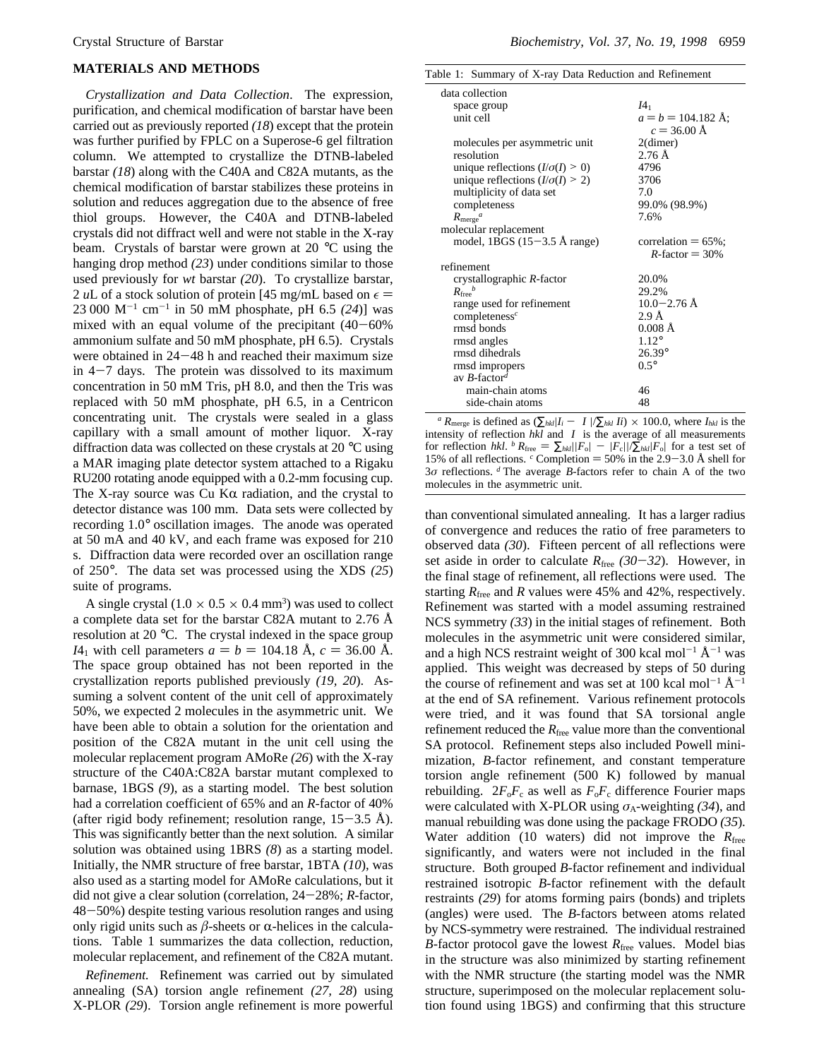### **MATERIALS AND METHODS**

*Crystallization and Data Collection*. The expression, purification, and chemical modification of barstar have been carried out as previously reported *(18*) except that the protein was further purified by FPLC on a Superose-6 gel filtration column. We attempted to crystallize the DTNB-labeled barstar *(18*) along with the C40A and C82A mutants, as the chemical modification of barstar stabilizes these proteins in solution and reduces aggregation due to the absence of free thiol groups. However, the C40A and DTNB-labeled crystals did not diffract well and were not stable in the X-ray beam. Crystals of barstar were grown at 20 °C using the hanging drop method *(23*) under conditions similar to those used previously for *wt* barstar *(20*). To crystallize barstar, 2 *u*L of a stock solution of protein [45 mg/mL based on  $\epsilon$  =  $23\,000 \, \text{M}^{-1} \, \text{cm}^{-1}$  in 50 mM phosphate, pH 6.5 (24)] was mixed with an equal volume of the precipitant  $(40-60\%)$ ammonium sulfate and 50 mM phosphate, pH 6.5). Crystals were obtained in  $24-48$  h and reached their maximum size in  $4-7$  days. The protein was dissolved to its maximum concentration in 50 mM Tris, pH 8.0, and then the Tris was replaced with 50 mM phosphate, pH 6.5, in a Centricon concentrating unit. The crystals were sealed in a glass capillary with a small amount of mother liquor. X-ray diffraction data was collected on these crystals at 20 °C using a MAR imaging plate detector system attached to a Rigaku RU200 rotating anode equipped with a 0.2-mm focusing cup. The X-ray source was Cu K $\alpha$  radiation, and the crystal to detector distance was 100 mm. Data sets were collected by recording 1.0° oscillation images. The anode was operated at 50 mA and 40 kV, and each frame was exposed for 210 s. Diffraction data were recorded over an oscillation range of 250°. The data set was processed using the XDS *(25*) suite of programs.

A single crystal  $(1.0 \times 0.5 \times 0.4 \text{ mm}^3)$  was used to collect a complete data set for the barstar C82A mutant to 2.76 Å resolution at 20 °C. The crystal indexed in the space group *I*4<sub>1</sub> with cell parameters  $a = b = 104.18$  Å,  $c = 36.00$  Å. The space group obtained has not been reported in the crystallization reports published previously *(19, 20*). Assuming a solvent content of the unit cell of approximately 50%, we expected 2 molecules in the asymmetric unit. We have been able to obtain a solution for the orientation and position of the C82A mutant in the unit cell using the molecular replacement program AMoRe *(26*) with the X-ray structure of the C40A:C82A barstar mutant complexed to barnase, 1BGS *(9*), as a starting model. The best solution had a correlation coefficient of 65% and an *R*-factor of 40% (after rigid body refinement; resolution range,  $15-3.5$  Å). This was significantly better than the next solution. A similar solution was obtained using 1BRS *(8*) as a starting model. Initially, the NMR structure of free barstar, 1BTA *(10*), was also used as a starting model for AMoRe calculations, but it did not give a clear solution (correlation, 24-28%; *<sup>R</sup>*-factor, <sup>48</sup>-50%) despite testing various resolution ranges and using only rigid units such as  $\beta$ -sheets or  $\alpha$ -helices in the calculations. Table 1 summarizes the data collection, reduction, molecular replacement, and refinement of the C82A mutant.

*Refinement.* Refinement was carried out by simulated annealing (SA) torsion angle refinement *(27, 28*) using X-PLOR *(29*). Torsion angle refinement is more powerful

Table 1: Summary of X-ray Data Reduction and Refinement

| data collection                           |                              |
|-------------------------------------------|------------------------------|
| space group                               | I4 <sub>1</sub>              |
| unit cell                                 | $a = b = 104.182 \text{ Å};$ |
|                                           | $c = 36.00 \text{ Å}$        |
| molecules per asymmetric unit             | $2$ (dimer)                  |
| resolution                                | $2.76$ Å                     |
| unique reflections $(I/\sigma(I) > 0)$    | 4796                         |
| unique reflections $(I/\sigma(I) \geq 2)$ | 3706                         |
| multiplicity of data set                  | 7.0                          |
| completeness                              | 99.0% (98.9%)                |
| $R_{\text{merge}}^a$                      | 7.6%                         |
| molecular replacement                     |                              |
| model, 1BGS $(15-3.5 \text{ Å range})$    | correlation $= 65\%$ ;       |
|                                           | $R$ -factor = 30%            |
| refinement                                |                              |
| crystallographic R-factor                 | 20.0%                        |
| $R_{\text{free}}^{\ b}$                   | 29.2%                        |
| range used for refinement                 | $10.0 - 2.76$ Å              |
| completeness <sup>c</sup>                 | $2.9\,\mathrm{\AA}$          |
| rmsd bonds                                | $0.008$ Å                    |
| rmsd angles                               | $1.12^{\circ}$               |
| rmsd dihedrals                            | $26.39^{\circ}$              |
| rmsd impropers                            | $0.5^\circ$                  |
| av $B$ -factor <sup>d</sup>               |                              |
| main-chain atoms                          | 46                           |
| side-chain atoms                          | 48                           |
|                                           |                              |

*a*  $R_{\text{merge}}$  is defined as  $(\sum_{hkl} |I_i - \langle I \rangle| / \sum_{hkl} I_i) \times 100.0$ , where  $I_{hkl}$  is the intensity of reflection *hkl* and  $\langle I \rangle$  is the average of all measurements for reflection *hkl.*  $^b$   $R_{\text{free}} = \sum_{hkl} |F_0| - |F_c| / \sum_{hkl} |F_0|$  for a test set of 15% of all reflections. <sup>*c*</sup> Completion = 50% in the 2.9–3.0 Å shell for 3*σ* reflections. *<sup>d</sup>* The average *B*-factors refer to chain A of the two molecules in the asymmetric unit.

than conventional simulated annealing. It has a larger radius of convergence and reduces the ratio of free parameters to observed data *(30*). Fifteen percent of all reflections were set aside in order to calculate  $R_{\text{free}}$  (30–32). However, in the final stage of refinement, all reflections were used. The starting  $R_{\text{free}}$  and  $R$  values were 45% and 42%, respectively. Refinement was started with a model assuming restrained NCS symmetry *(33*) in the initial stages of refinement. Both molecules in the asymmetric unit were considered similar, and a high NCS restraint weight of 300 kcal mol<sup>-1</sup>  $\rm \AA^{-1}$  was applied. This weight was decreased by steps of 50 during the course of refinement and was set at 100 kcal mol<sup>-1</sup>  $\rm \AA^{-1}$ at the end of SA refinement. Various refinement protocols were tried, and it was found that SA torsional angle refinement reduced the *R*<sub>free</sub> value more than the conventional SA protocol. Refinement steps also included Powell minimization, *B*-factor refinement, and constant temperature torsion angle refinement (500 K) followed by manual rebuilding.  $2F_0F_c$  as well as  $F_0F_c$  difference Fourier maps were calculated with X-PLOR using  $\sigma_A$ -weighting (34), and manual rebuilding was done using the package FRODO *(35*). Water addition (10 waters) did not improve the *R*free significantly, and waters were not included in the final structure. Both grouped *B*-factor refinement and individual restrained isotropic *B*-factor refinement with the default restraints *(29*) for atoms forming pairs (bonds) and triplets (angles) were used. The *B*-factors between atoms related by NCS-symmetry were restrained. The individual restrained *B*-factor protocol gave the lowest  $R_{\text{free}}$  values. Model bias in the structure was also minimized by starting refinement with the NMR structure (the starting model was the NMR structure, superimposed on the molecular replacement solution found using 1BGS) and confirming that this structure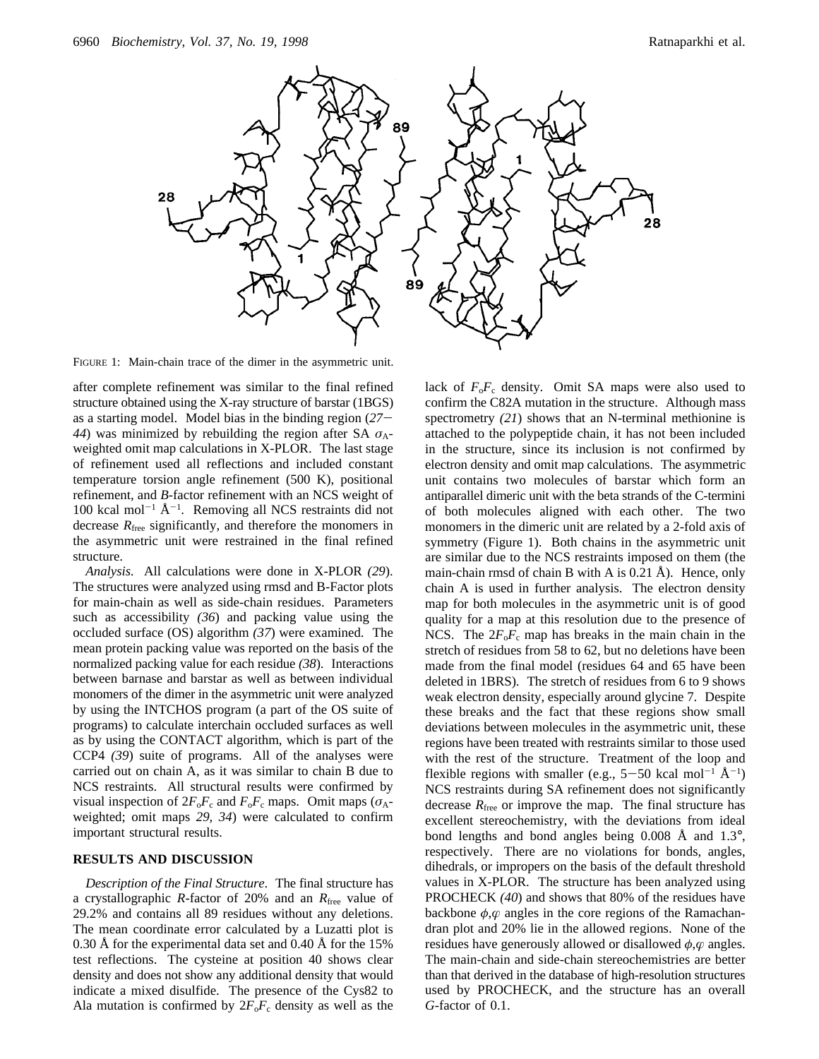

FIGURE 1: Main-chain trace of the dimer in the asymmetric unit.

after complete refinement was similar to the final refined structure obtained using the X-ray structure of barstar (1BGS) as a starting model. Model bias in the binding region (*27*- *44*) was minimized by rebuilding the region after SA  $\sigma_A$ weighted omit map calculations in X-PLOR. The last stage of refinement used all reflections and included constant temperature torsion angle refinement (500 K), positional refinement, and *B*-factor refinement with an NCS weight of  $100$  kcal mol<sup>-1</sup>  $\rm \AA^{-1}$ . Removing all NCS restraints did not decrease  $R_{\text{free}}$  significantly, and therefore the monomers in the asymmetric unit were restrained in the final refined structure.

*Analysis.* All calculations were done in X-PLOR *(29*). The structures were analyzed using rmsd and B-Factor plots for main-chain as well as side-chain residues. Parameters such as accessibility *(36*) and packing value using the occluded surface (OS) algorithm *(37*) were examined. The mean protein packing value was reported on the basis of the normalized packing value for each residue *(38*). Interactions between barnase and barstar as well as between individual monomers of the dimer in the asymmetric unit were analyzed by using the INTCHOS program (a part of the OS suite of programs) to calculate interchain occluded surfaces as well as by using the CONTACT algorithm, which is part of the CCP4 *(39*) suite of programs. All of the analyses were carried out on chain A, as it was similar to chain B due to NCS restraints. All structural results were confirmed by visual inspection of  $2F_0F_c$  and  $F_0F_c$  maps. Omit maps ( $\sigma_A$ weighted; omit maps *29, 34*) were calculated to confirm important structural results.

### **RESULTS AND DISCUSSION**

*Description of the Final Structure*. The final structure has a crystallographic *R*-factor of 20% and an *R*free value of 29.2% and contains all 89 residues without any deletions. The mean coordinate error calculated by a Luzatti plot is 0.30 Å for the experimental data set and 0.40 Å for the 15% test reflections. The cysteine at position 40 shows clear density and does not show any additional density that would indicate a mixed disulfide. The presence of the Cys82 to Ala mutation is confirmed by  $2F_0F_c$  density as well as the

lack of  $F_0F_c$  density. Omit SA maps were also used to confirm the C82A mutation in the structure. Although mass spectrometry *(21*) shows that an N-terminal methionine is attached to the polypeptide chain, it has not been included in the structure, since its inclusion is not confirmed by electron density and omit map calculations. The asymmetric unit contains two molecules of barstar which form an antiparallel dimeric unit with the beta strands of the C-termini of both molecules aligned with each other. The two monomers in the dimeric unit are related by a 2-fold axis of symmetry (Figure 1). Both chains in the asymmetric unit are similar due to the NCS restraints imposed on them (the main-chain rmsd of chain B with A is 0.21 Å). Hence, only chain A is used in further analysis. The electron density map for both molecules in the asymmetric unit is of good quality for a map at this resolution due to the presence of NCS. The  $2F_0F_c$  map has breaks in the main chain in the stretch of residues from 58 to 62, but no deletions have been made from the final model (residues 64 and 65 have been deleted in 1BRS). The stretch of residues from 6 to 9 shows weak electron density, especially around glycine 7. Despite these breaks and the fact that these regions show small deviations between molecules in the asymmetric unit, these regions have been treated with restraints similar to those used with the rest of the structure. Treatment of the loop and flexible regions with smaller (e.g.,  $5-50$  kcal mol<sup>-1</sup>  $\rm \AA^{-1}$ )<br>NCS restraints during SA refinement does not significantly NCS restraints during SA refinement does not significantly decrease  $R_{\text{free}}$  or improve the map. The final structure has excellent stereochemistry, with the deviations from ideal bond lengths and bond angles being 0.008 Å and 1.3°, respectively. There are no violations for bonds, angles, dihedrals, or impropers on the basis of the default threshold values in X-PLOR. The structure has been analyzed using PROCHECK *(40*) and shows that 80% of the residues have backbone *φ*,*æ* angles in the core regions of the Ramachandran plot and 20% lie in the allowed regions. None of the residues have generously allowed or disallowed *φ*,*æ* angles. The main-chain and side-chain stereochemistries are better than that derived in the database of high-resolution structures used by PROCHECK, and the structure has an overall *G*-factor of 0.1.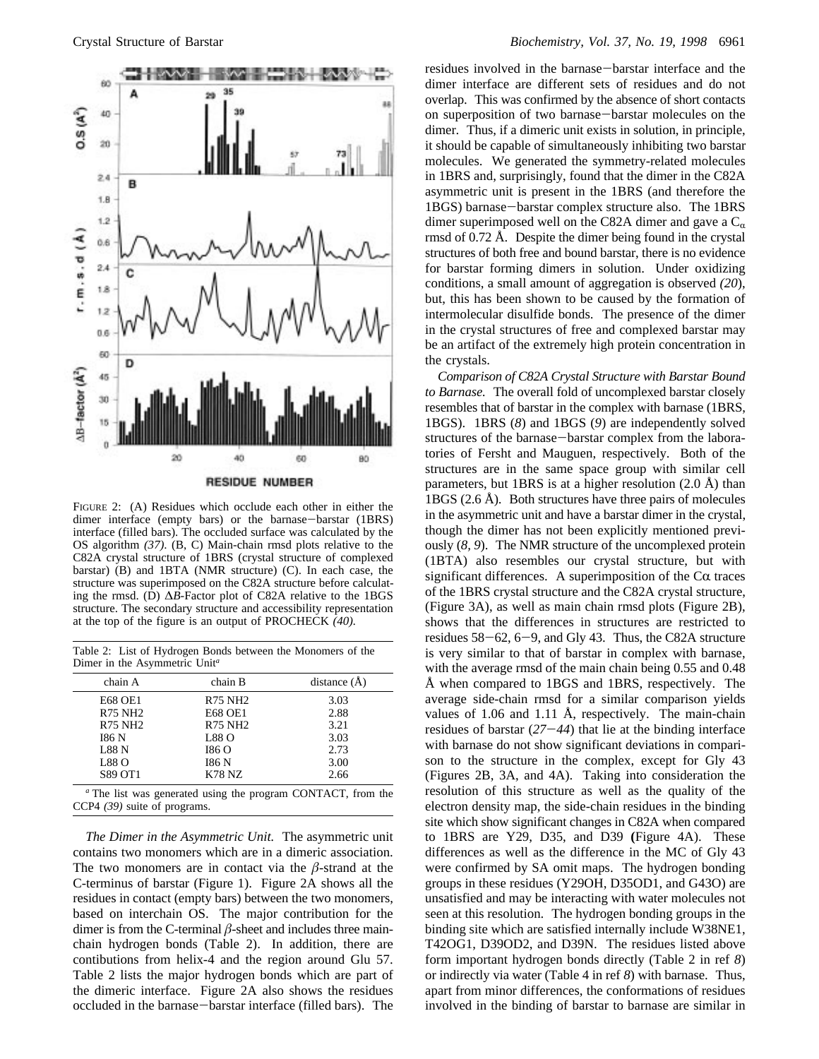

FIGURE 2: (A) Residues which occlude each other in either the dimer interface (empty bars) or the barnase-barstar (1BRS) interface (filled bars). The occluded surface was calculated by the OS algorithm *(37)*. (B, C) Main-chain rmsd plots relative to the C82A crystal structure of 1BRS (crystal structure of complexed barstar) (B) and 1BTA (NMR structure) (C). In each case, the structure was superimposed on the C82A structure before calculating the rmsd. (D) ∆*B*-Factor plot of C82A relative to the 1BGS structure. The secondary structure and accessibility representation

Table 2: List of Hydrogen Bonds between the Monomers of the Dimer in the Asymmetric Unit*<sup>a</sup>*

at the top of the figure is an output of PROCHECK *(40).*

| chain A        | chain B        | distance $(\AA)$ |
|----------------|----------------|------------------|
| <b>E68 OE1</b> | <b>R75 NH2</b> | 3.03             |
| <b>R75 NH2</b> | <b>E68 OE1</b> | 2.88             |
| <b>R75 NH2</b> | <b>R75 NH2</b> | 3.21             |
| 186 N          | L88 O          | 3.03             |
| L88N           | 186 O          | 2.73             |
| L88 O          | <b>I86 N</b>   | 3.00             |
| <b>S89 OT1</b> | K78 NZ         | 2.66             |

*<sup>a</sup>* The list was generated using the program CONTACT, from the CCP4 *(39)* suite of programs.

*The Dimer in the Asymmetric Unit.* The asymmetric unit contains two monomers which are in a dimeric association. The two monomers are in contact via the  $\beta$ -strand at the C-terminus of barstar (Figure 1). Figure 2A shows all the residues in contact (empty bars) between the two monomers, based on interchain OS. The major contribution for the dimer is from the C-terminal  $\beta$ -sheet and includes three mainchain hydrogen bonds (Table 2). In addition, there are contibutions from helix-4 and the region around Glu 57. Table 2 lists the major hydrogen bonds which are part of the dimeric interface. Figure 2A also shows the residues occluded in the barnase-barstar interface (filled bars). The

residues involved in the barnase-barstar interface and the dimer interface are different sets of residues and do not overlap. This was confirmed by the absence of short contacts on superposition of two barnase-barstar molecules on the dimer. Thus, if a dimeric unit exists in solution, in principle, it should be capable of simultaneously inhibiting two barstar molecules. We generated the symmetry-related molecules in 1BRS and, surprisingly, found that the dimer in the C82A asymmetric unit is present in the 1BRS (and therefore the 1BGS) barnase-barstar complex structure also. The 1BRS dimer superimposed well on the C82A dimer and gave a  $C_{\alpha}$ rmsd of 0.72 Å. Despite the dimer being found in the crystal structures of both free and bound barstar, there is no evidence for barstar forming dimers in solution. Under oxidizing conditions, a small amount of aggregation is observed *(20*), but, this has been shown to be caused by the formation of intermolecular disulfide bonds. The presence of the dimer in the crystal structures of free and complexed barstar may be an artifact of the extremely high protein concentration in the crystals.

*Comparison of C82A Crystal Structure with Barstar Bound to Barnase.* The overall fold of uncomplexed barstar closely resembles that of barstar in the complex with barnase (1BRS, 1BGS). 1BRS (*8*) and 1BGS (*9*) are independently solved structures of the barnase-barstar complex from the laboratories of Fersht and Mauguen, respectively. Both of the structures are in the same space group with similar cell parameters, but 1BRS is at a higher resolution (2.0 Å) than 1BGS (2.6 Å). Both structures have three pairs of molecules in the asymmetric unit and have a barstar dimer in the crystal, though the dimer has not been explicitly mentioned previously (*8, 9*). The NMR structure of the uncomplexed protein (1BTA) also resembles our crystal structure, but with significant differences. A superimposition of the  $Ca$  traces of the 1BRS crystal structure and the C82A crystal structure, (Figure 3A), as well as main chain rmsd plots (Figure 2B), shows that the differences in structures are restricted to residues  $58-62$ ,  $6-9$ , and Gly 43. Thus, the C82A structure is very similar to that of barstar in complex with barnase, with the average rmsd of the main chain being 0.55 and 0.48 Å when compared to 1BGS and 1BRS, respectively. The average side-chain rmsd for a similar comparison yields values of 1.06 and 1.11 Å, respectively. The main-chain residues of barstar (*27*-*44*) that lie at the binding interface with barnase do not show significant deviations in comparison to the structure in the complex, except for Gly 43 (Figures 2B, 3A, and 4A). Taking into consideration the resolution of this structure as well as the quality of the electron density map, the side-chain residues in the binding site which show significant changes in C82A when compared to 1BRS are Y29, D35, and D39 **(**Figure 4A). These differences as well as the difference in the MC of Gly 43 were confirmed by SA omit maps. The hydrogen bonding groups in these residues (Y29OH, D35OD1, and G43O) are unsatisfied and may be interacting with water molecules not seen at this resolution. The hydrogen bonding groups in the binding site which are satisfied internally include W38NE1, T42OG1, D39OD2, and D39N. The residues listed above form important hydrogen bonds directly (Table 2 in ref *8*) or indirectly via water (Table 4 in ref *8*) with barnase. Thus, apart from minor differences, the conformations of residues involved in the binding of barstar to barnase are similar in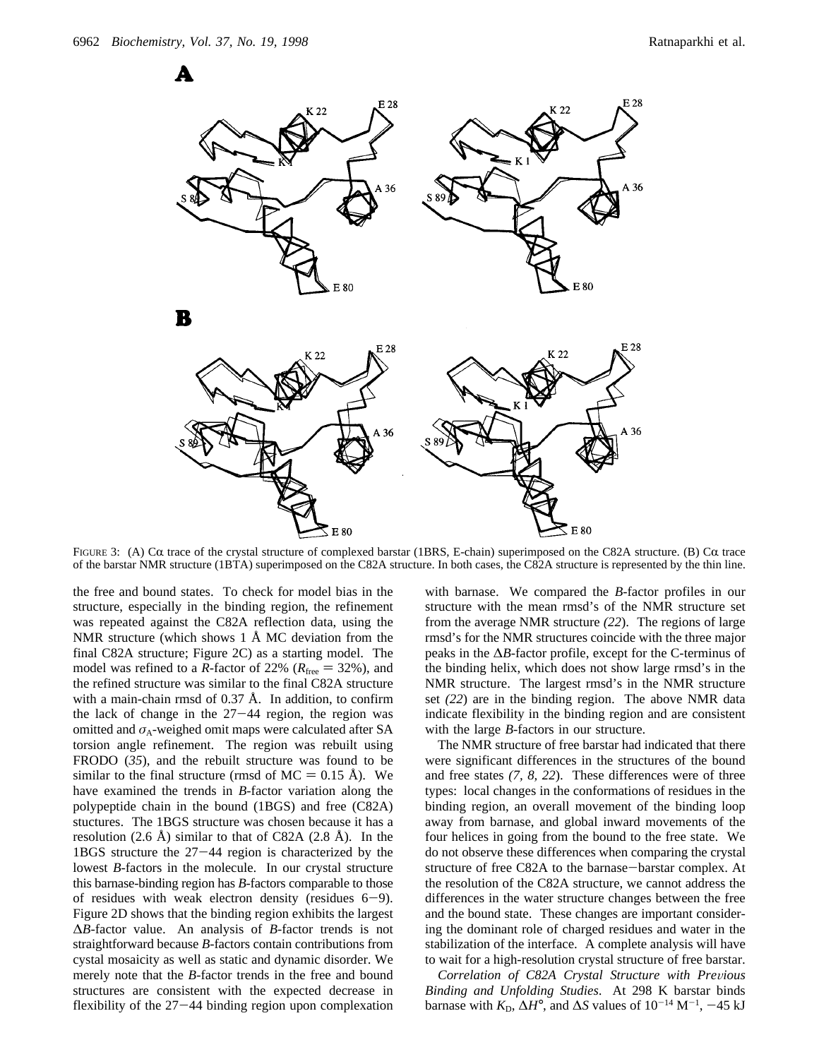A



FIGURE 3: (A)  $C\alpha$  trace of the crystal structure of complexed barstar (1BRS, E-chain) superimposed on the C82A structure. (B)  $C\alpha$  trace of the barstar NMR structure (1BTA) superimposed on the C82A structure. In both cases, the C82A structure is represented by the thin line.

the free and bound states. To check for model bias in the structure, especially in the binding region, the refinement was repeated against the C82A reflection data, using the NMR structure (which shows 1 Å MC deviation from the final C82A structure; Figure 2C) as a starting model. The model was refined to a *R*-factor of 22% ( $R_{\text{free}} = 32$ %), and the refined structure was similar to the final C82A structure with a main-chain rmsd of 0.37 Å. In addition, to confirm the lack of change in the  $27-44$  region, the region was omitted and  $\sigma_A$ -weighed omit maps were calculated after SA torsion angle refinement. The region was rebuilt using FRODO (*35*), and the rebuilt structure was found to be similar to the final structure (rmsd of  $MC = 0.15$  Å). We have examined the trends in *B*-factor variation along the polypeptide chain in the bound (1BGS) and free (C82A) stuctures. The 1BGS structure was chosen because it has a resolution  $(2.6 \text{ Å})$  similar to that of C82A  $(2.8 \text{ Å})$ . In the 1BGS structure the 27-44 region is characterized by the lowest *B*-factors in the molecule. In our crystal structure this barnase-binding region has *B*-factors comparable to those of residues with weak electron density (residues  $6-9$ ). Figure 2D shows that the binding region exhibits the largest ∆*B*-factor value. An analysis of *B*-factor trends is not straightforward because *B*-factors contain contributions from cystal mosaicity as well as static and dynamic disorder. We merely note that the *B*-factor trends in the free and bound structures are consistent with the expected decrease in flexibility of the 27-44 binding region upon complexation

with barnase. We compared the *B*-factor profiles in our structure with the mean rmsd's of the NMR structure set from the average NMR structure *(22*). The regions of large rmsd's for the NMR structures coincide with the three major peaks in the ∆*B*-factor profile, except for the C-terminus of the binding helix, which does not show large rmsd's in the NMR structure. The largest rmsd's in the NMR structure set *(22*) are in the binding region. The above NMR data indicate flexibility in the binding region and are consistent with the large *B*-factors in our structure.

The NMR structure of free barstar had indicated that there were significant differences in the structures of the bound and free states *(7, 8, 22*). These differences were of three types: local changes in the conformations of residues in the binding region, an overall movement of the binding loop away from barnase, and global inward movements of the four helices in going from the bound to the free state. We do not observe these differences when comparing the crystal structure of free C82A to the barnase-barstar complex. At the resolution of the C82A structure, we cannot address the differences in the water structure changes between the free and the bound state. These changes are important considering the dominant role of charged residues and water in the stabilization of the interface. A complete analysis will have to wait for a high-resolution crystal structure of free barstar.

*Correlation of C82A Crystal Structure with Previous Binding and Unfolding Studies*. At 298 K barstar binds barnase with  $K_{\text{D}}$ ,  $\Delta H^{\circ}$ , and  $\Delta S$  values of  $10^{-14} \text{ M}^{-1}$ ,  $-45 \text{ kJ}$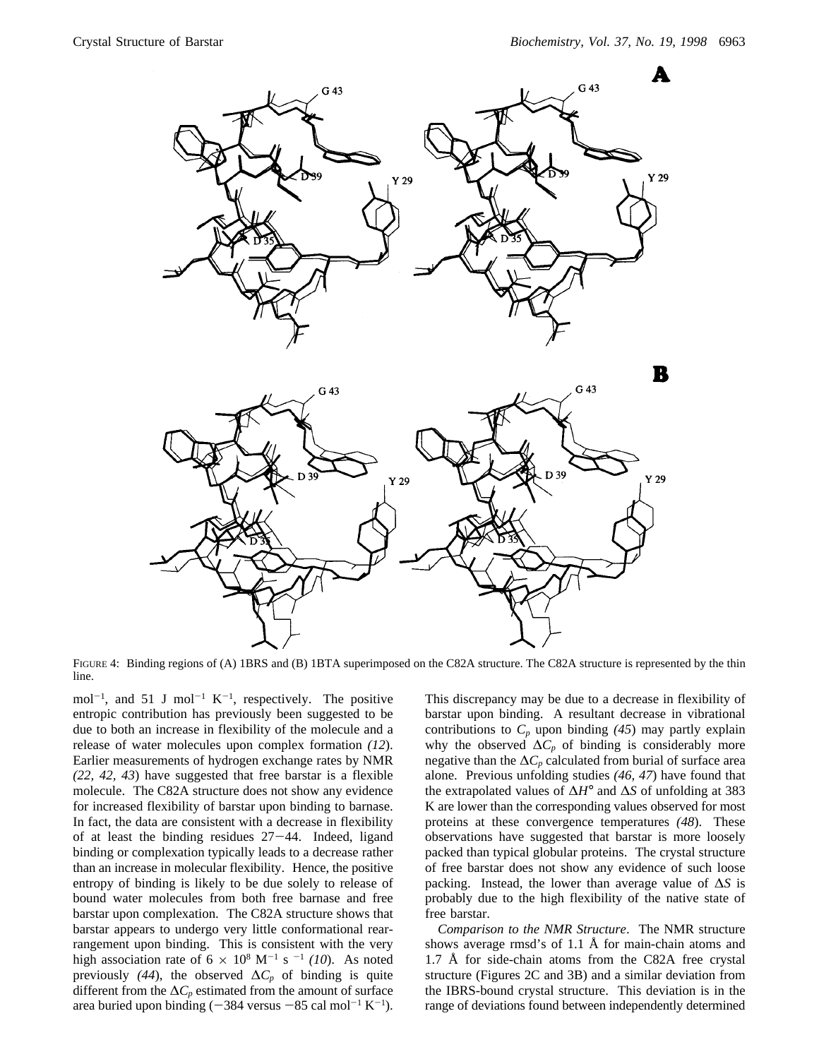

FIGURE 4: Binding regions of (A) 1BRS and (B) 1BTA superimposed on the C82A structure. The C82A structure is represented by the thin line.

mol<sup>-1</sup>, and 51 J mol<sup>-1</sup> K<sup>-1</sup>, respectively. The positive entropic contribution has previously been suggested to be due to both an increase in flexibility of the molecule and a release of water molecules upon complex formation *(12*). Earlier measurements of hydrogen exchange rates by NMR *(22, 42, 43*) have suggested that free barstar is a flexible molecule. The C82A structure does not show any evidence for increased flexibility of barstar upon binding to barnase. In fact, the data are consistent with a decrease in flexibility of at least the binding residues  $27-44$ . Indeed, ligand binding or complexation typically leads to a decrease rather than an increase in molecular flexibility. Hence, the positive entropy of binding is likely to be due solely to release of bound water molecules from both free barnase and free barstar upon complexation. The C82A structure shows that barstar appears to undergo very little conformational rearrangement upon binding. This is consistent with the very high association rate of  $6 \times 10^8$  M<sup>-1</sup> s<sup>-1</sup> *(10)*. As noted previously (44), the observed  $\Delta C_p$  of binding is quite different from the  $\Delta C_p$  estimated from the amount of surface area buried upon binding  $(-384 \text{ versus } -85 \text{ cal mol}^{-1} \text{ K}^{-1})$ .

This discrepancy may be due to a decrease in flexibility of barstar upon binding. A resultant decrease in vibrational contributions to  $C_p$  upon binding  $(45)$  may partly explain why the observed  $\Delta C_p$  of binding is considerably more negative than the  $\Delta C_p$  calculated from burial of surface area alone. Previous unfolding studies *(46, 47*) have found that the extrapolated values of ∆*H*° and ∆*S* of unfolding at 383 K are lower than the corresponding values observed for most proteins at these convergence temperatures *(48*). These observations have suggested that barstar is more loosely packed than typical globular proteins. The crystal structure of free barstar does not show any evidence of such loose packing. Instead, the lower than average value of ∆*S* is probably due to the high flexibility of the native state of free barstar.

*Comparison to the NMR Structure*. The NMR structure shows average rmsd's of 1.1 Å for main-chain atoms and 1.7 Å for side-chain atoms from the C82A free crystal structure (Figures 2C and 3B) and a similar deviation from the IBRS-bound crystal structure. This deviation is in the range of deviations found between independently determined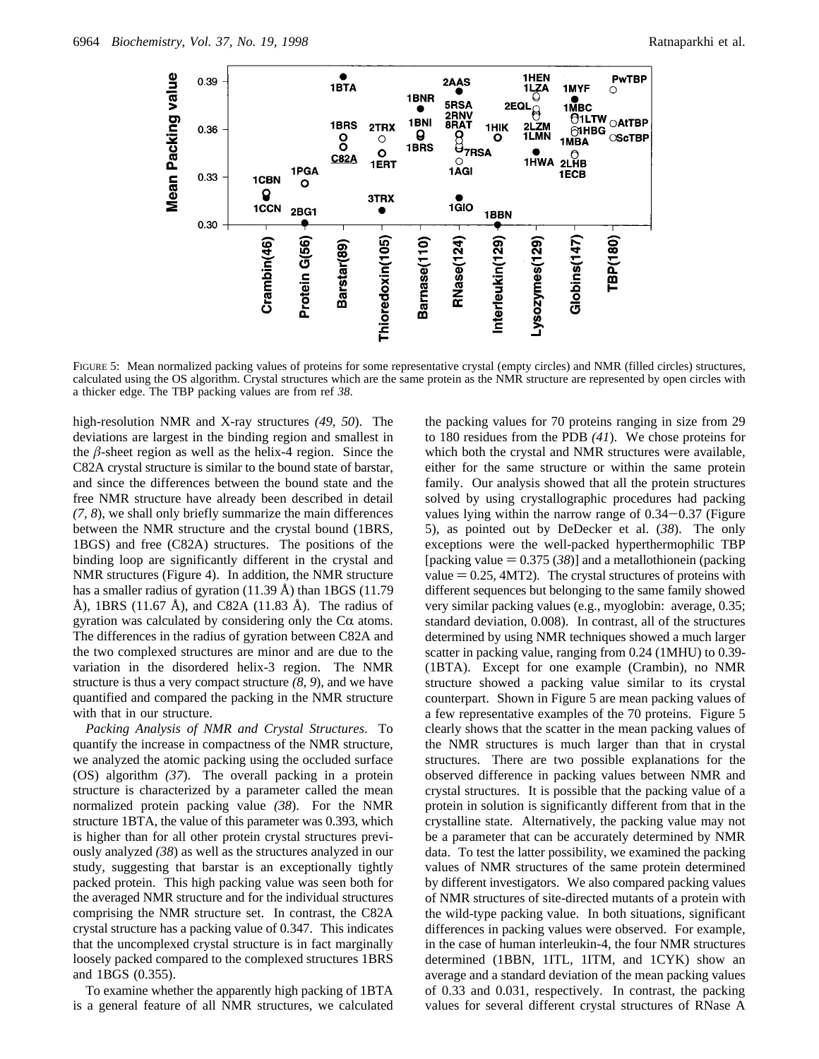

FIGURE 5: Mean normalized packing values of proteins for some representative crystal (empty circles) and NMR (filled circles) structures, calculated using the OS algorithm. Crystal structures which are the same protein as the NMR structure are represented by open circles with a thicker edge. The TBP packing values are from ref *38*.

high-resolution NMR and X-ray structures *(49, 50*). The deviations are largest in the binding region and smallest in the  $\beta$ -sheet region as well as the helix-4 region. Since the C82A crystal structure is similar to the bound state of barstar, and since the differences between the bound state and the free NMR structure have already been described in detail *(7, 8*), we shall only briefly summarize the main differences between the NMR structure and the crystal bound (1BRS, 1BGS) and free (C82A) structures. The positions of the binding loop are significantly different in the crystal and NMR structures (Figure 4). In addition, the NMR structure has a smaller radius of gyration (11.39 Å) than 1BGS (11.79 Å), 1BRS (11.67 Å), and C82A (11.83 Å). The radius of gyration was calculated by considering only the  $C\alpha$  atoms. The differences in the radius of gyration between C82A and the two complexed structures are minor and are due to the variation in the disordered helix-3 region. The NMR structure is thus a very compact structure *(8, 9*), and we have quantified and compared the packing in the NMR structure with that in our structure.

*Packing Analysis of NMR and Crystal Structures*. To quantify the increase in compactness of the NMR structure, we analyzed the atomic packing using the occluded surface (OS) algorithm *(37*). The overall packing in a protein structure is characterized by a parameter called the mean normalized protein packing value *(38*). For the NMR structure 1BTA, the value of this parameter was 0.393, which is higher than for all other protein crystal structures previously analyzed *(38*) as well as the structures analyzed in our study, suggesting that barstar is an exceptionally tightly packed protein. This high packing value was seen both for the averaged NMR structure and for the individual structures comprising the NMR structure set. In contrast, the C82A crystal structure has a packing value of 0.347. This indicates that the uncomplexed crystal structure is in fact marginally loosely packed compared to the complexed structures 1BRS and 1BGS (0.355).

To examine whether the apparently high packing of 1BTA is a general feature of all NMR structures, we calculated the packing values for 70 proteins ranging in size from 29 to 180 residues from the PDB *(41*). We chose proteins for which both the crystal and NMR structures were available, either for the same structure or within the same protein family. Our analysis showed that all the protein structures solved by using crystallographic procedures had packing values lying within the narrow range of 0.34-0.37 (Figure 5), as pointed out by DeDecker et al. (*38*). The only exceptions were the well-packed hyperthermophilic TBP [packing value  $= 0.375 (38)$ ] and a metallothionein (packing value  $= 0.25$ , 4MT2). The crystal structures of proteins with different sequences but belonging to the same family showed very similar packing values (e.g., myoglobin: average, 0.35; standard deviation, 0.008). In contrast, all of the structures determined by using NMR techniques showed a much larger scatter in packing value, ranging from 0.24 (1MHU) to 0.39- (1BTA). Except for one example (Crambin), no NMR structure showed a packing value similar to its crystal counterpart. Shown in Figure 5 are mean packing values of a few representative examples of the 70 proteins. Figure 5 clearly shows that the scatter in the mean packing values of the NMR structures is much larger than that in crystal structures. There are two possible explanations for the observed difference in packing values between NMR and crystal structures. It is possible that the packing value of a protein in solution is significantly different from that in the crystalline state. Alternatively, the packing value may not be a parameter that can be accurately determined by NMR data. To test the latter possibility, we examined the packing values of NMR structures of the same protein determined by different investigators. We also compared packing values of NMR structures of site-directed mutants of a protein with the wild-type packing value. In both situations, significant differences in packing values were observed. For example, in the case of human interleukin-4, the four NMR structures determined (1BBN, 1ITL, 1ITM, and 1CYK) show an average and a standard deviation of the mean packing values of 0.33 and 0.031, respectively. In contrast, the packing values for several different crystal structures of RNase A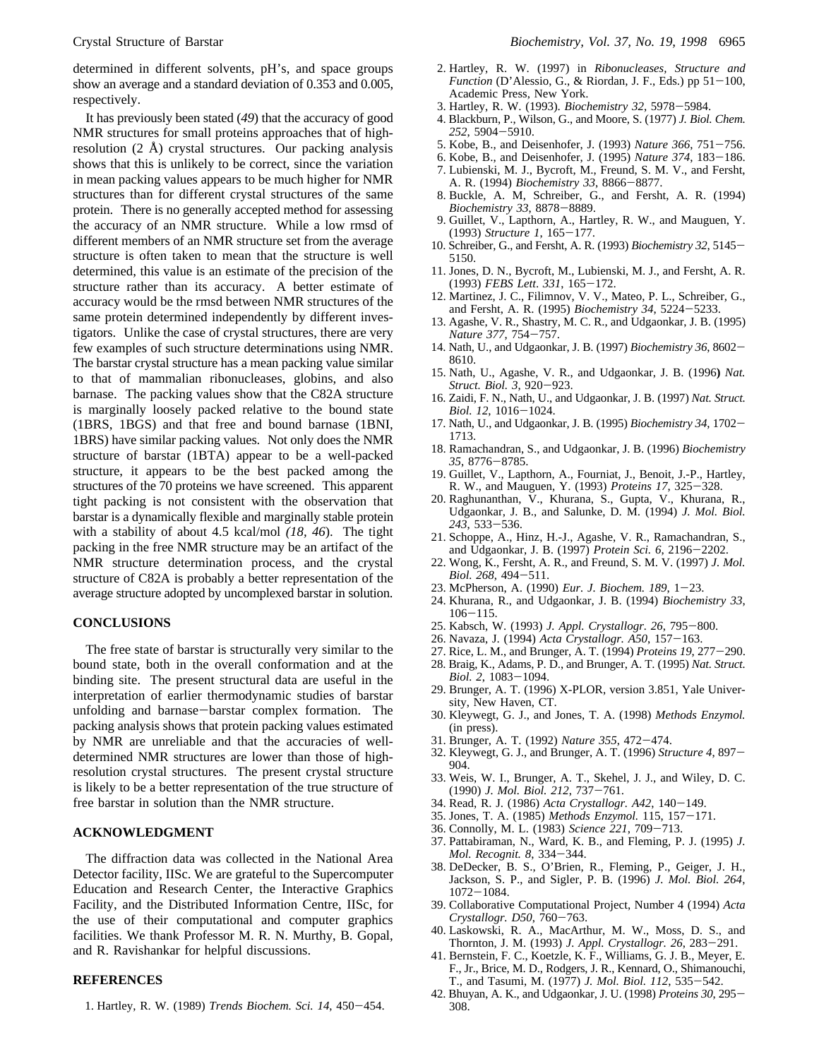determined in different solvents, pH's, and space groups show an average and a standard deviation of 0.353 and 0.005, respectively.

It has previously been stated (*49*) that the accuracy of good NMR structures for small proteins approaches that of highresolution (2 Å) crystal structures. Our packing analysis shows that this is unlikely to be correct, since the variation in mean packing values appears to be much higher for NMR structures than for different crystal structures of the same protein. There is no generally accepted method for assessing the accuracy of an NMR structure. While a low rmsd of different members of an NMR structure set from the average structure is often taken to mean that the structure is well determined, this value is an estimate of the precision of the structure rather than its accuracy. A better estimate of accuracy would be the rmsd between NMR structures of the same protein determined independently by different investigators. Unlike the case of crystal structures, there are very few examples of such structure determinations using NMR. The barstar crystal structure has a mean packing value similar to that of mammalian ribonucleases, globins, and also barnase. The packing values show that the C82A structure is marginally loosely packed relative to the bound state (1BRS, 1BGS) and that free and bound barnase (1BNI, 1BRS) have similar packing values. Not only does the NMR structure of barstar (1BTA) appear to be a well-packed structure, it appears to be the best packed among the structures of the 70 proteins we have screened. This apparent tight packing is not consistent with the observation that barstar is a dynamically flexible and marginally stable protein with a stability of about 4.5 kcal/mol *(18, 46*). The tight packing in the free NMR structure may be an artifact of the NMR structure determination process, and the crystal structure of C82A is probably a better representation of the average structure adopted by uncomplexed barstar in solution.

## **CONCLUSIONS**

The free state of barstar is structurally very similar to the bound state, both in the overall conformation and at the binding site. The present structural data are useful in the interpretation of earlier thermodynamic studies of barstar unfolding and barnase-barstar complex formation. The packing analysis shows that protein packing values estimated by NMR are unreliable and that the accuracies of welldetermined NMR structures are lower than those of highresolution crystal structures. The present crystal structure is likely to be a better representation of the true structure of free barstar in solution than the NMR structure.

# **ACKNOWLEDGMENT**

The diffraction data was collected in the National Area Detector facility, IISc. We are grateful to the Supercomputer Education and Research Center, the Interactive Graphics Facility, and the Distributed Information Centre, IISc, for the use of their computational and computer graphics facilities. We thank Professor M. R. N. Murthy, B. Gopal, and R. Ravishankar for helpful discussions.

#### **REFERENCES**

- 2. Hartley, R. W. (1997) in *Ribonucleases, Structure and Function* (D'Alessio, G., & Riordan, J. F., Eds.) pp 51-100, Academic Press, New York.
- 3. Hartley, R. W. (1993). *Biochemistry 32*, 5978-5984.
- 4. Blackburn, P., Wilson, G., and Moore, S. (1977) *J. Biol. Chem. <sup>252</sup>*, 5904-5910.
- 5. Kobe, B., and Deisenhofer, J. (1993) *Nature 366*, 751-756.
- 6. Kobe, B., and Deisenhofer, J. (1995) *Nature 374*, 183-186. 7. Lubienski, M. J., Bycroft, M., Freund, S. M. V., and Fersht, A. R. (1994) *Biochemistry 33*, 8866-8877.
- 8. Buckle, A. M, Schreiber, G., and Fersht, A. R. (1994)
- *Biochemistry 33*, 8878-8889. 9. Guillet, V., Lapthorn, A., Hartley, R. W., and Mauguen, Y. (1993) *Structure 1*, 165-177.
- 10. Schreiber, G., and Fersht, A. R. (1993) *Biochemistry 32*, 5145- 5150.
- 11. Jones, D. N., Bycroft, M., Lubienski, M. J., and Fersht, A. R. (1993) *FEBS Lett*. *<sup>331</sup>*, 165-172.
- 12. Martinez, J. C., Filimnov, V. V., Mateo, P. L., Schreiber, G., and Fersht, A. R. (1995) *Biochemistry 34*, 5224-5233.
- 13. Agashe, V. R., Shastry, M. C. R., and Udgaonkar, J. B. (1995) *Nature 377*, 754-757.
- 14. Nath, U., and Udgaonkar, J. B. (1997) *Biochemistry 36*, 8602- 8610.
- 15. Nath, U., Agashe, V. R., and Udgaonkar, J. B. (1996**)** *Nat. Struct. Biol. 3*, 920-923.
- 16. Zaidi, F. N., Nath, U., and Udgaonkar, J. B. (1997) *Nat. Struct. Biol. 12*, 1016-1024.
- 17. Nath, U., and Udgaonkar, J. B. (1995) *Biochemistry 34*, 1702- 1713.
- 18. Ramachandran, S., and Udgaonkar, J. B. (1996) *Biochemistry <sup>35</sup>*, 8776-8785.
- 19. Guillet, V., Lapthorn, A., Fourniat, J., Benoit, J.-P., Hartley, R. W., and Mauguen, Y. (1993) *Proteins 17*, 325-328.
- 20. Raghunanthan, V., Khurana, S., Gupta, V., Khurana, R., Udgaonkar, J. B., and Salunke, D. M. (1994) *J. Mol. Biol. <sup>243</sup>*, 533-536.
- 21. Schoppe, A., Hinz, H.-J., Agashe, V. R., Ramachandran, S., and Udgaonkar, J. B. (1997) *Protein Sci. 6*, 2196-2202.
- 22. Wong, K., Fersht, A. R., and Freund, S. M. V. (1997) *J. Mol. Biol. 268*, 494-511.
- 23. McPherson, A. (1990) *Eur. J. Biochem. 189*, 1-23.
- 24. Khurana, R., and Udgaonkar, J. B. (1994) *Biochemistry 33*, 106-115.<br>Kabsch. V
- 25. Kabsch, W. (1993) *J. Appl. Crystallogr. 26*, 795-800.
- 26. Navaza, J. (1994) *Acta Crystallogr. A50*, 157-163.
- 27. Rice, L. M., and Brunger, A. T. (1994) *Proteins 19*, 277-290.
- 28. Braig, K., Adams, P. D., and Brunger, A. T. (1995) *Nat. Struct. Biol. 2*, 1083-1094.
- 29. Brunger, A. T. (1996) X-PLOR, version 3.851, Yale University, New Haven, CT.
- 30. Kleywegt, G. J., and Jones, T. A. (1998) *Methods Enzymol.* (in press).
- 31. Brunger, A. T. (1992) *Nature 355*, 472-474.
- 32. Kleywegt, G. J., and Brunger, A. T. (1996) *Structure 4*, 897- 904.
- 33. Weis, W. I., Brunger, A. T., Skehel, J. J., and Wiley, D. C. (1990) *J. Mol. Biol. 212*, 737-761.
- 34. Read, R. J. (1986) *Acta Crystallogr. A42*, 140-149.
- 35. Jones, T. A. (1985) *Methods Enzymol.* 115, 157-171.
- 36. Connolly, M. L. (1983) *Science 221*, 709-713.
- 37. Pattabiraman, N., Ward, K. B., and Fleming, P. J. (1995) *J. Mol. Recognit. 8*, 334-344.
- 38. DeDecker, B. S., O'Brien, R., Fleming, P., Geiger, J. H., Jackson, S. P., and Sigler, P. B. (1996) *J. Mol. Biol. 264*, <sup>1072</sup>-1084. 39. Collaborative Computational Project, Number 4 (1994) *Acta*
- *Crystallogr. D50*, 760-763.
- 40. Laskowski, R. A., MacArthur, M. W., Moss, D. S., and Thornton, J. M. (1993) *J. Appl. Crystallogr. 26*, 283-291.
- 41. Bernstein, F. C., Koetzle, K. F., Williams, G. J. B., Meyer, E. F., Jr., Brice, M. D., Rodgers, J. R., Kennard, O., Shimanouchi, T., and Tasumi, M. (1977) *J. Mol. Biol. 112*, 535-542.
- 42. Bhuyan, A. K., and Udgaonkar, J. U. (1998) *Proteins 30*, 295- 308.